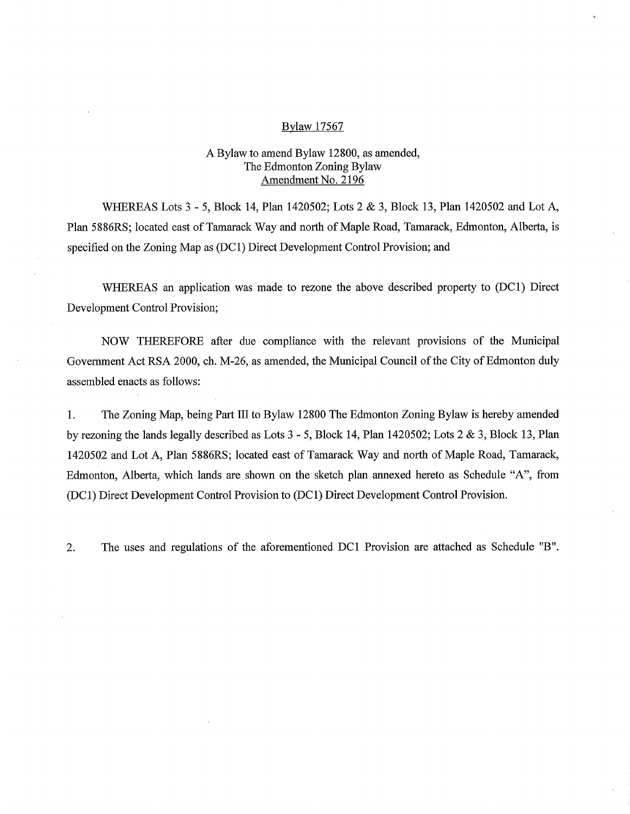### Bylaw 17567

# A Bylaw to amend Bylaw 12800, as amended, The Edmonton Zoning Bylaw Amendment No. 2196

WHEREAS Lots 3 - 5, Block 14, Plan 1420502; Lots 2 & 3, Block 13, Plan 1420502 and Lot A, Plan 5886RS; located east of Tamarack Way and north of Maple Road, Tamarack, Edmonton, Alberta, is specified on the Zoning Map as (DC1) Direct Development Control Provision; and

WHEREAS an application was made to rezone the above described property to (DC1) Direct Development Control Provision;

NOW THEREFORE after due compliance with the relevant provisions of the Municipal Government Act RSA 2000, ch. M-26, as amended, the Municipal Council of the City of Edmonton duly assembled enacts as follows:

1. The Zoning Map, being Part III to Bylaw 12800 The Edmonton Zoning Bylaw is hereby amended by rezoning the lands legally described as Lots 3 - 5, Block 14, Plan 1420502; Lots 2 & 3, Block 13, Plan 1420502 and Lot A, Plan 5886RS; located east of Tamarack Way and north of Maple Road, Tamarack, Edmonton, Alberta, which lands are shown on the sketch plan annexed hereto as Schedule "A", from (DC1) Direct Development Control Provision to (DC1) Direct Development Control Provision.

2. The uses and regulations of the aforementioned DC1 Provision are attached as Schedule "B".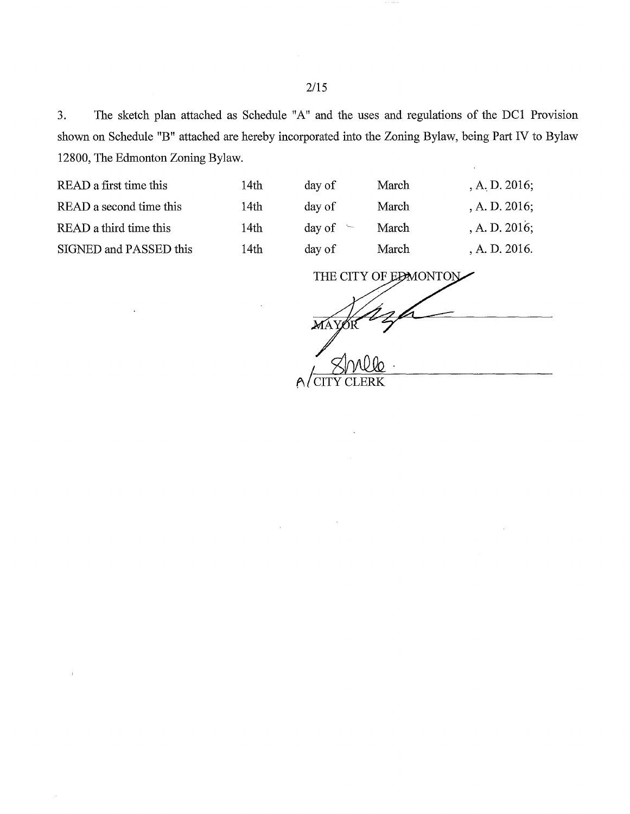3. The sketch plan attached as Schedule "A" and the uses and regulations of the DC1 Provision shown on Schedule "B" attached are hereby incorporated into the Zoning Bylaw, being Part IV to Bylaw 12800, The Edmonton Zoning Bylaw.

| READ a first time this  | 14th | day of        | March | , A. D. $2016$ ; |
|-------------------------|------|---------------|-------|------------------|
| READ a second time this | 14th | day of        | March | , A. D. $2016$ ; |
| READ a third time this  | 14th | day of $\sim$ | March | A. D. 2016;      |
| SIGNED and PASSED this  | 14th | day of        | March | A. D. 2016.      |
|                         |      |               |       |                  |

THE CITY OF EDMONTON

<u>New</u>

A CITY CLERK

2/15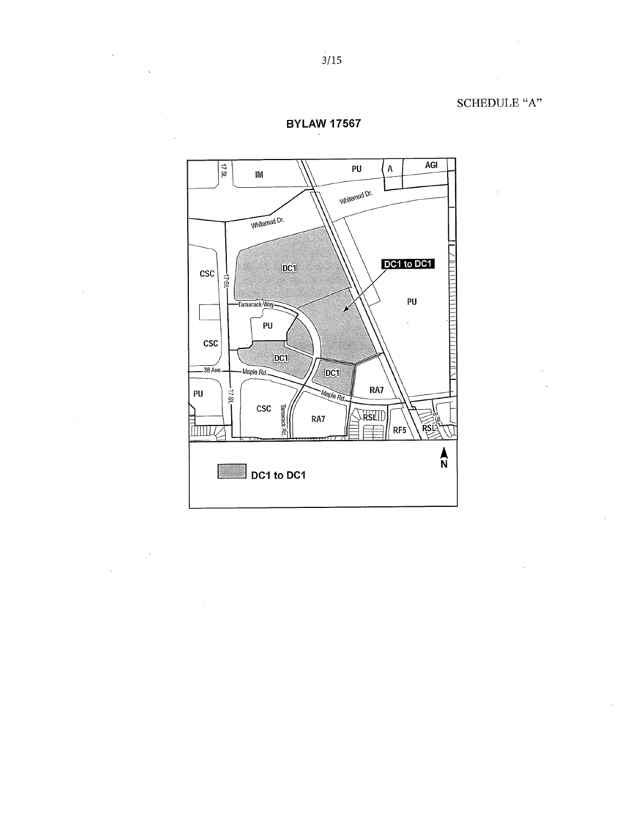SCHEDULE "A"



 $\ddot{\phantom{a}}$ 

 $\frac{1}{2}$  .

**BYLAW 17567**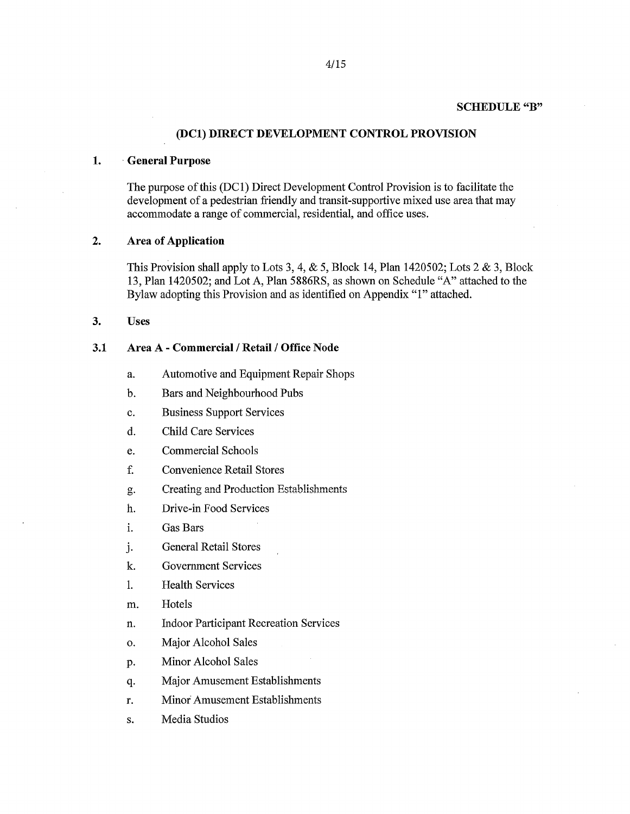#### **SCHEDULE "B"**

#### **(DC1) DIRECT DEVELOPMENT CONTROL PROVISION**

## **1. General Purpose**

The purpose of this (DC1) Direct Development Control Provision is to facilitate the development of a pedestrian friendly and transit-supportive mixed use area that may accommodate a range of commercial, residential, and office uses.

## **2. Area of Application**

This Provision shall apply to Lots 3, 4,  $&$  5, Block 14, Plan 1420502; Lots 2  $&$  3, Block 13, Plan 1420502; and Lot A, Plan 5886RS, as shown on Schedule "A" attached to the Bylaw adopting this Provision and as identified on Appendix "1" attached.

**3. Uses** 

## **3.1 Area A - Commercial / Retail / Office Node**

- a. Automotive and Equipment Repair Shops
- b. Bars and Neighbourhood Pubs
- c. Business Support Services
- d. Child Care Services
- e. Commercial Schools
- f. Convenience Retail Stores
- g. Creating and Production Establishments
- h. Drive-in Food Services
- i. Gas Bars
- j. General Retail Stores
- k. Government Services
- 1. Health Services
- m. Hotels
- n. Indoor Participant Recreation Services
- o. Major Alcohol Sales
- P. Minor Alcohol Sales
- q. Major Amusement Establishments
- r. Minor Amusement Establishments
- s. Media Studios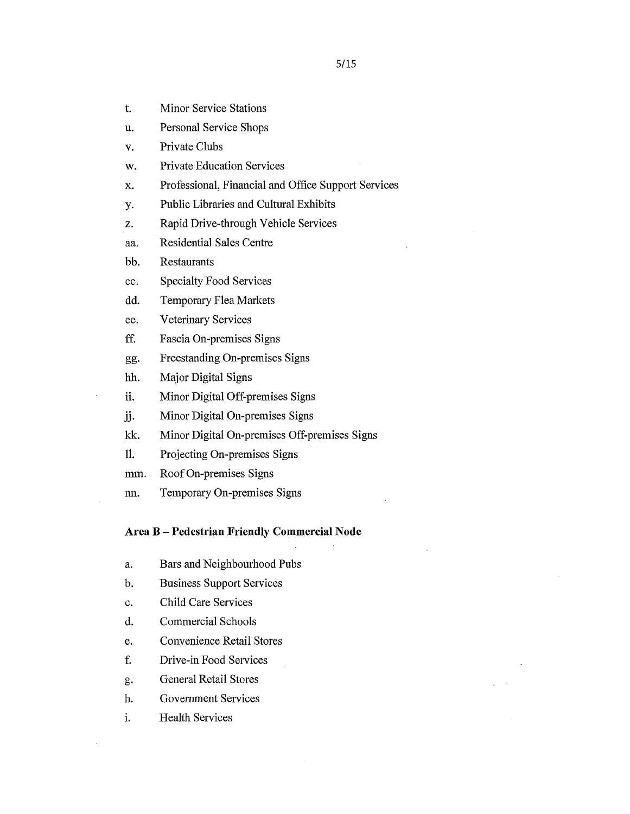- t. Minor Service Stations
- u. Personal Service Shops
- v. Private Clubs
- w. Private Education Services
- x. Professional, Financial and Office Support Services
- y. Public Libraries and Cultural Exhibits
- z. Rapid Drive-through Vehicle Services
- aa. Residential Sales Centre
- bb. Restaurants
- cc. Specialty Food Services
- dd. Temporary Flea Markets
- ee. Veterinary Services
- ff. Fascia On-premises Signs
- gg. Freestanding On-premises Signs
- hh. Major Digital Signs
- ii. Minor Digital Off-premises Signs
- jj. Minor Digital On-premises Signs
- kk. Minor Digital On-premises Off-premises Signs
- 11. Projecting On-premises Signs
- mm. Roof On-premises Signs
- nn. Temporary On-premises Signs

### Area B — Pedestrian Friendly Commercial Node

- a. Bars and Neighbourhood Pubs
- b. Business Support Services
- c. Child Care Services
- d. Commercial Schools
- e. Convenience Retail Stores
- f. Drive-in Food Services
- g. General Retail Stores
- h. Government Services
- i. Health Services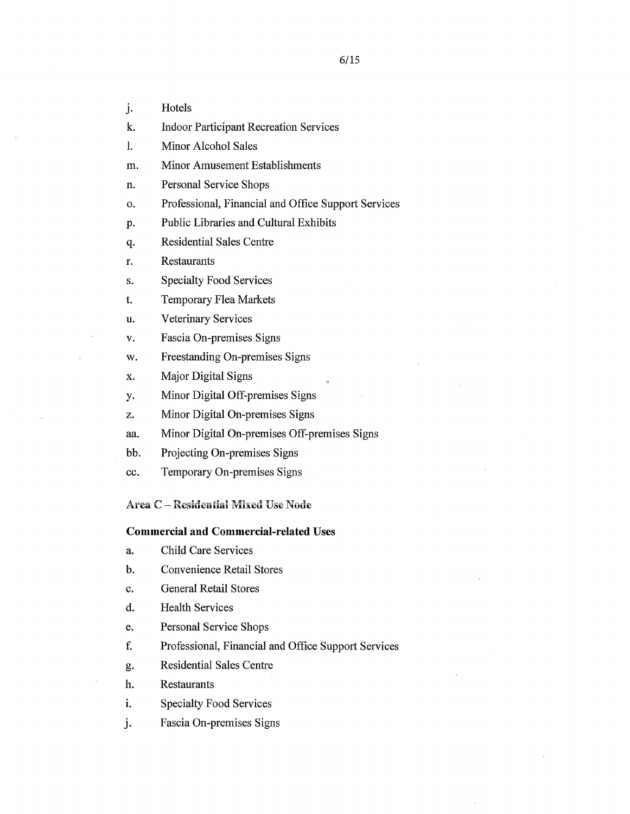j. Hotels

k. Indoor Participant Recreation Services

1. Minor Alcohol Sales

m. Minor Amusement Establishments

n. Personal Service Shops

o. Professional, Financial and Office Support Services

P. Public Libraries and Cultural Exhibits

q. Residential Sales Centre

r. Restaurants

s. Specialty Food Services

t. Temporary Flea Markets

u. Veterinary Services

v. Fascia On-premises Signs

w. Freestanding On-premises Signs

x. Major Digital Signs

y. Minor Digital Off-premises Signs

z. Minor Digital On-premises Signs

aa. Minor Digital On-premises Off-premises Signs

bb. Projecting On-premises Signs

cc. Temporary On-premises Signs

Area C - Residential Mixed Use Node

#### **Commercial and Commercial-related Uses**

a. Child Care Services

b. Convenience Retail Stores

c. General Retail Stores

d. Health Services

e. Personal Service Shops

f. Professional, Financial and Office Support Services

g. Residential Sales Centre

h. Restaurants

i. Specialty Food Services

j. Fascia On-premises Signs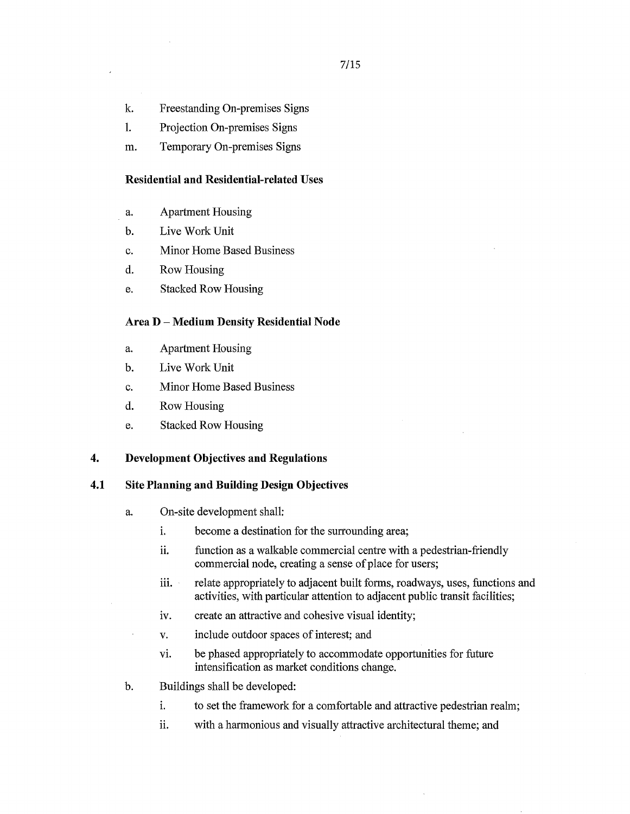- k. Freestanding On-premises Signs
- 1. Projection On-premises Signs
- m. Temporary On-premises Signs

#### **Residential and Residential-related Uses**

- a. Apartment Housing
- b. Live Work Unit
- c. Minor Home Based Business
- d. Row Housing
- e. Stacked Row Housing

## **Area D — Medium Density Residential Node**

- a. Apartment Housing
- b. Live Work Unit
- c. Minor Home Based Business
- d. Row Housing
- e. Stacked Row Housing

## **4. Development Objectives and Regulations**

### **4.1 Site Planning and Building Design Objectives**

- a. On-site development shall:
	- i. become a destination for the surrounding area;
	- function as a walkable commercial centre with a pedestrian-friendly ii. commercial node, creating a sense of place for users;
	- iii. relate appropriately to adjacent built forms, roadways, uses, functions and activities, with particular attention to adjacent public transit facilities;
	- iv. create an attractive and cohesive visual identity;
	- v. include outdoor spaces of interest; and
	- vi. be phased appropriately to accommodate opportunities for future intensification as market conditions change.
- b. Buildings shall be developed:
	- i. to set the framework for a comfortable and attractive pedestrian realm;
	- ii. with a harmonious and visually attractive architectural theme; and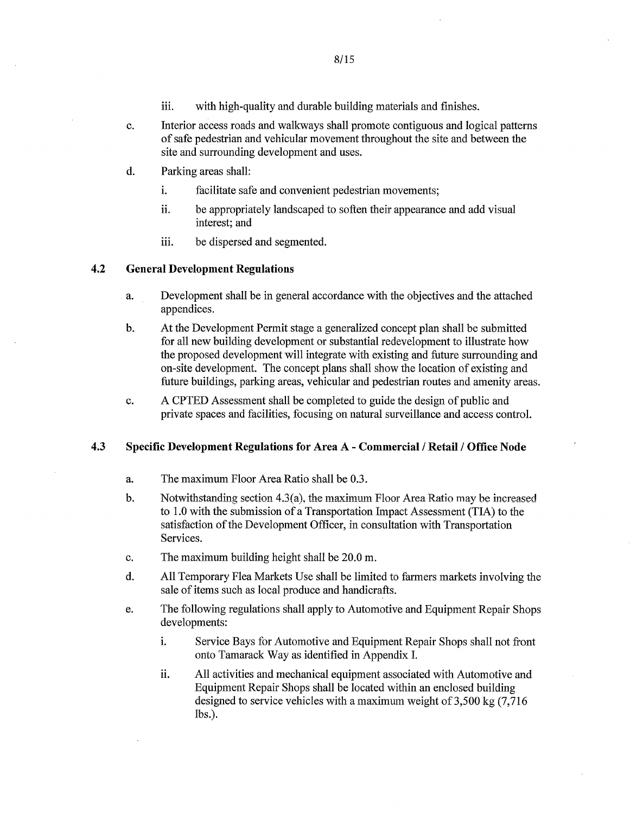- iii. with high-quality and durable building materials and finishes.
- c. Interior access roads and walkways shall promote contiguous and logical patterns of safe pedestrian and vehicular movement throughout the site and between the site and surrounding development and uses.
- d. Parking areas shall:
	- i. facilitate safe and convenient pedestrian movements;
	- ii. be appropriately landscaped to soften their appearance and add visual interest; and
	- iii. be dispersed and segmented.

## **4.2 General Development Regulations**

- a. Development shall be in general accordance with the objectives and the attached appendices.
- b. At the Development Permit stage a generalized concept plan shall be submitted for all new building development or substantial redevelopment to illustrate how the proposed development will integrate with existing and future surrounding and on-site development. The concept plans shall show the location of existing and future buildings, parking areas, vehicular and pedestrian routes and amenity areas.
- c. A CPTED Assessment shall be completed to guide the design of public and private spaces and facilities, focusing on natural surveillance and access control.

### **4.3 Specific Development Regulations for Area A - Commercial / Retail / Office Node**

- a. The maximum Floor Area Ratio shall be 0.3.
- b, Notwithstanding section 4.3(a), the maximum Floor Area Ratio may be increased to 1.0 with the submission of a Transportation Impact Assessment (TIA) to the satisfaction of the Development Officer, in consultation with Transportation Services.
- c. The maximum building height shall be 20.0 m.
- d. All Temporary Flea Markets Use shall be limited to farmers markets involving the sale of items such as local produce and handicrafts.
- e. The following regulations shall apply to Automotive and Equipment Repair Shops developments:
	- i. Service Bays for Automotive and Equipment Repair Shops shall not front onto Tamarack Way as identified in Appendix I.
	- ii. All activities and mechanical equipment associated with Automotive and Equipment Repair Shops shall be located within an enclosed building designed to service vehicles with a maximum weight of 3,500 kg (7,716 lbs.).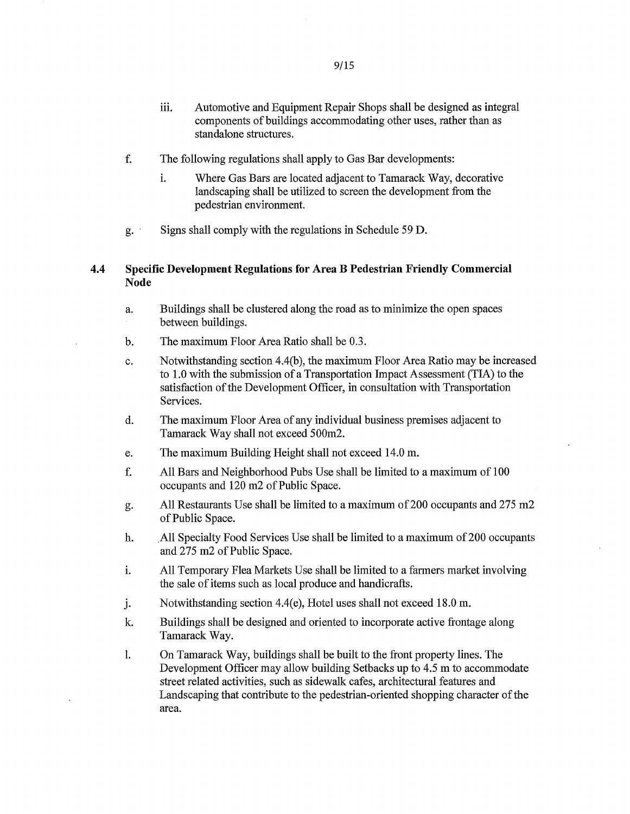- f. The following regulations shall apply to Gas Bar developments:
	- i. Where Gas Bars are located adjacent to Tamarack Way, decorative landscaping shall be utilized to screen the development from the pedestrian environment.
- Signs shall comply with the regulations in Schedule 59 D.  $g^{\prime}$ .

# 4.4 Specific Development Regulations for Area B Pedestrian Friendly Commercial Node

- a. Buildings shall be clustered along the road as to minimize the open spaces between buildings.
- b. The maximum Floor Area Ratio shall be 0.3.
- c. Notwithstanding section 4.4(b), the maximum Floor Area Ratio may be increased to 1.0 with the submission of a Transportation Impact Assessment (TIA) to the satisfaction of the Development Officer, in consultation with Transportation Services.
- d. The maximum Floor Area of any individual business premises adjacent to Tamarack Way shall not exceed 500m2.
- e. The maximum Building Height shall not exceed 14.0 m.
- f. All Bars and Neighborhood Pubs Use shall be limited to a maximum of 100 occupants and 120 m2 of Public Space.
- g. All Restaurants Use shall be limited to a maximum of 200 occupants and 275 m2 of Public Space.
- h. All Specialty Food Services Use shall be limited to a maximum of 200 occupants and 275 m2 of Public Space.
- i. All Temporary Flea Markets Use shall be limited to a farmers market involving the sale of items such as local produce and handicrafts.
- j. Notwithstanding section 4.4(e), Hotel uses shall not exceed 18.0 m.
- k. Buildings shall be designed and oriented to incorporate active frontage along Tamarack Way.
- $\mathbf{l}$ . On Tamarack Way, buildings shall be built to the front property lines. The Development Officer may allow building Setbacks up to 4.5 m to accommodate street related activities, such as sidewalk cafes, architectural features and Landscaping that contribute to the pedestrian-oriented shopping character of the area.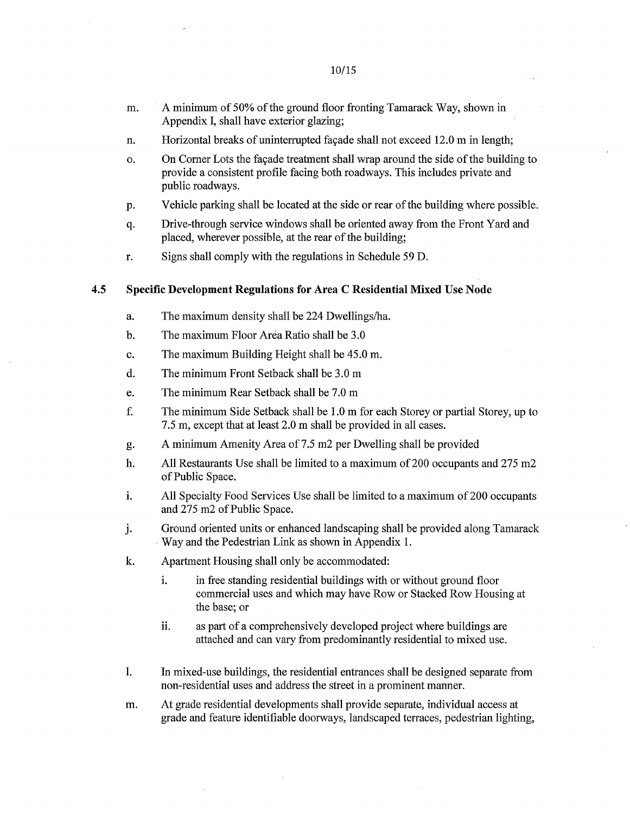- n. Horizontal breaks of uninterrupted facade shall not exceed 12.0 m in length;
- o. On Corner Lots the façade treatment shall wrap around the side of the building to provide a consistent profile facing both roadways. This includes private and public roadways.
- P. Vehicle parking shall be located at the side or rear of the building where possible.
- q. Drive-through service windows shall be oriented away from the Front Yard and placed, wherever possible, at the rear of the building;
- r. Signs shall comply with the regulations in Schedule 59 D.

# **4.5 Specific Development Regulations for Area C Residential Mixed Use Node**

- a. The maximum density shall be 224 Dwellings/ha.
- b. The maximum Floor Area Ratio shall be 3.0
- c. The maximum Building Height shall be 45.0 m.
- d. The minimum Front Setback shall be 3.0 m
- e. The minimum Rear Setback shall be 7.0 m
- f. The minimum Side Setback shall be 1.0 m for each Storey or partial Storey, up to 7.5 m, except that at least 2.0 m shall be provided in all cases.
- g• A minimum Amenity Area of 7.5 m2 per Dwelling shall be provided
- h. All Restaurants Use shall be limited to a maximum of 200 occupants and 275 m2 of Public Space.
- i. Al! Specialty Food Services Use shall be limited to a maximum of 200 occupants and 275 m2 of Public Space.
- j. Ground oriented units or enhanced landscaping shall be provided along Tamarack Way and the Pedestrian Link as shown in Appendix 1.
- k. Apartment Housing shall only be accommodated:
	- i. in free standing residential buildings with or without ground floor commercial uses and which may have Row or Stacked Row Housing at the base; or
	- ii. as part of a comprehensively developed project where buildings are attached and can vary from predominantly residential to mixed use.
- 1. In mixed-use buildings, the residential entrances shall be designed separate from non-residential uses and address the street in a prominent manner
- m. At grade residential developments shall provide separate, individual access at grade and feature identifiable doorways, landscaped terraces, pedestrian lighting,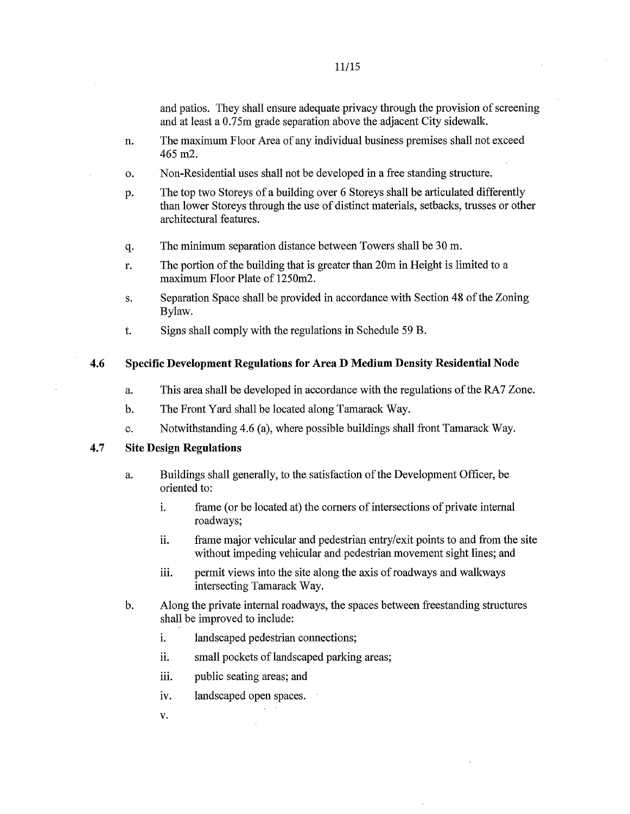and patios. They shall ensure adequate privacy through the provision of screening and at least a 0.75m grade separation above the adjacent City sidewalk.

- n. The maximum Floor Area of any individual business premises shall not exceed 465 m2.
- o. Non-Residential uses shall not be developed in a free standing structure.
- P. The top two Storeys of a building over 6 Storeys shall be articulated differently than lower Storeys through the use of distinct materials, setbacks, trusses or other architectural features.
- q. The minimum separation distance between Towers shall be 30 m.
- r. The portion of the building that is greater than 20m in Height is limited to a maximum Floor Plate of 1250m2.
- s. Separation Space shall be provided in accordance with Section 48 of the Zoning Bylaw.
- t. Signs shall comply with the regulations in Schedule 59 B.

### 4.6 Specific Development Regulations for Area D Medium Density Residential Node

- a. This area shall be developed in accordance with the regulations of the RA7 Zone.
- b. The Front Yard shall be located along Tamarack Way.
- c. Notwithstanding 4 6 (a), where possible buildings shall front Tamarack Way.

#### 4.7 Site Design Regulations

- a. Buildings shall generally, to the satisfaction of the Development Officer, be oriented to:
	- i. frame (or be located at) the corners of intersections of private internal roadways;
	- ii. frame major vehicular and pedestrian entry/exit points to and from the site without impeding vehicular and pedestrian movement sight lines; and
	- iii. permit views into the site along the axis of roadways and walkways intersecting Tamarack Way.
- b. Along the private internal roadways, the spaces between freestanding structures shall be improved to include:
	- i. landscaped pedestrian connections;
	- ii. small pockets of landscaped parking areas;
	- iii. public seating areas; and
	- iv. landscaped open spaces.
	- v.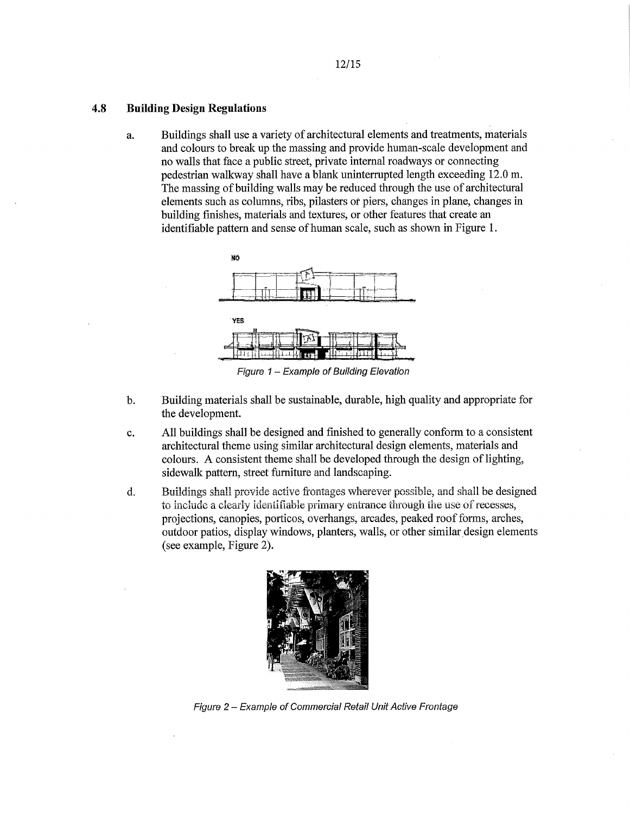#### **4.8 Building Design Regulations**

a. Buildings shall use a variety of architectural elements and treatments, materials and colours to break up the massing and provide human-scale development and no walls that face a public street, private internal roadways or connecting pedestrian walkway shall have a blank uninterrupted length exceeding 12.0 m. The massing of building walls may be reduced through the use of architectural elements such as columns, ribs, pilasters or piers, changes in plane, changes in building finishes, materials and textures, or other features that create an identifiable pattern and sense of human scale, such as shown in Figure 1.



Figure 1 — Example of Building Elevation

- b. Building materials shall be sustainable, durable, high quality and appropriate for the development.
- c. All buildings shall be designed and finished to generally conform to a consistent architectural theme using similar architectural design elements, materials and colours. A consistent theme shall be developed through the design of lighting, sidewalk pattern, street furniture and landscaping.
- d. Buildings shall provide active frontages wherever possible, and shall be designed to include a clearly identifiable primary entrance through the use of recesses, projections, canopies, porticos, overhangs, arcades, peaked roof forms, arches, outdoor patios, display windows, planters, walls, or other similar design elements (see example, Figure 2).



Figure 2— Example of Commercial Retail Unit Active Frontage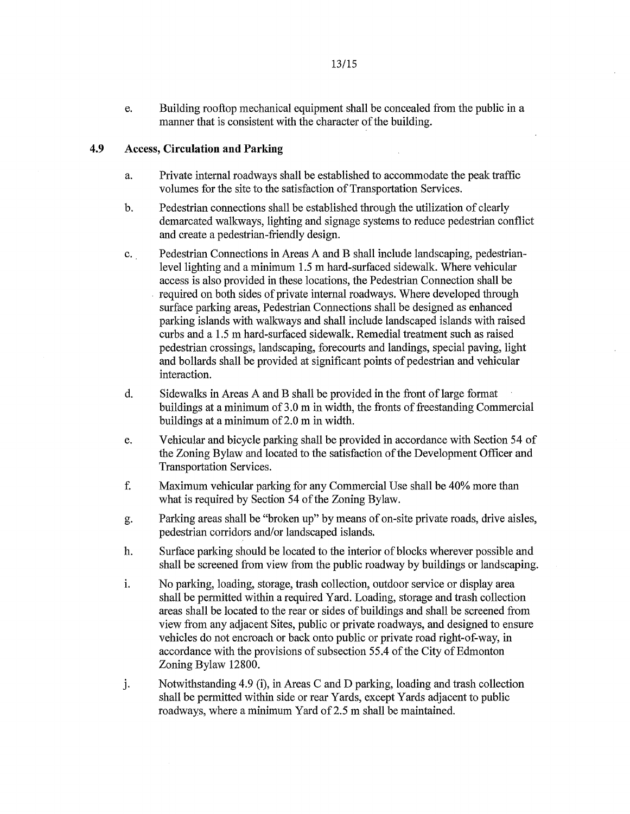e. Building rooftop mechanical equipment shall be concealed from the public in a manner that is consistent with the character of the building.

# **4.9 Access, Circulation and Parking**

- a. Private internal roadways shall be established to accommodate the peak traffic volumes for the site to the satisfaction of Transportation Services.
- b. Pedestrian connections shall be established through the utilization of clearly demarcated walkways, lighting and signage systems to reduce pedestrian conflict and create a pedestrian-friendly design.
- c. Pedestrian Connections in Areas A and B shall include landscaping, pedestrianlevel lighting and a minimum 1.5 m hard-surfaced sidewalk. Where vehicular access is also provided in these locations, the Pedestrian Connection shall be required on both sides of private internal roadways. Where developed through surface parking areas, Pedestrian Connections shall be designed as enhanced parking islands with walkways and shall include landscaped islands with raised curbs and a 1.5 m hard-surfaced sidewalk. Remedial treatment such as raised pedestrian crossings, landscaping, forecourts and landings, special paving, light and bollards shall be provided at significant points of pedestrian and vehicular interaction.
- d. Sidewalks in Areas A and B shall be provided in the front of large format buildings at a minimum of 3.0 m in width, the fronts of freestanding Commercial buildings at a minimum of 2.0 m in width.
- e. Vehicular and bicycle parking shall be provided in accordance with Section 54 of the Zoning Bylaw and located to the satisfaction of the Development Officer and Transportation Services.
- f. Maximum vehicular parking for any Commercial Use shall be 40% more than what is required by Section 54 of the Zoning Bylaw.
- g. Parking areas shall be "broken up" by means of on-site private roads, drive aisles, pedestrian corridors and/or landscaped islands.
- h. Surface parking should be located to the interior of blocks wherever possible and shall be screened from view from the public roadway by buildings or landscaping.
- No parking, loading, storage, trash collection, outdoor service or display area i. shall be permitted within a required Yard. Loading, storage and trash collection areas shall be located to the rear or sides of buildings and shall be screened from view from any adjacent Sites, public or private roadways, and designed to ensure vehicles do not encroach or back onto public or private road right-of-way, in accordance with the provisions of subsection 55.4 of the City of Edmonton Zoning Bylaw 12800.
- J. Notwithstanding 4.9 (i), in Areas C and D parking, loading and trash collection shall be permitted within side or rear Yards, except Yards adjacent to public roadways, where a minimum Yard of 2.5 m shall be maintained.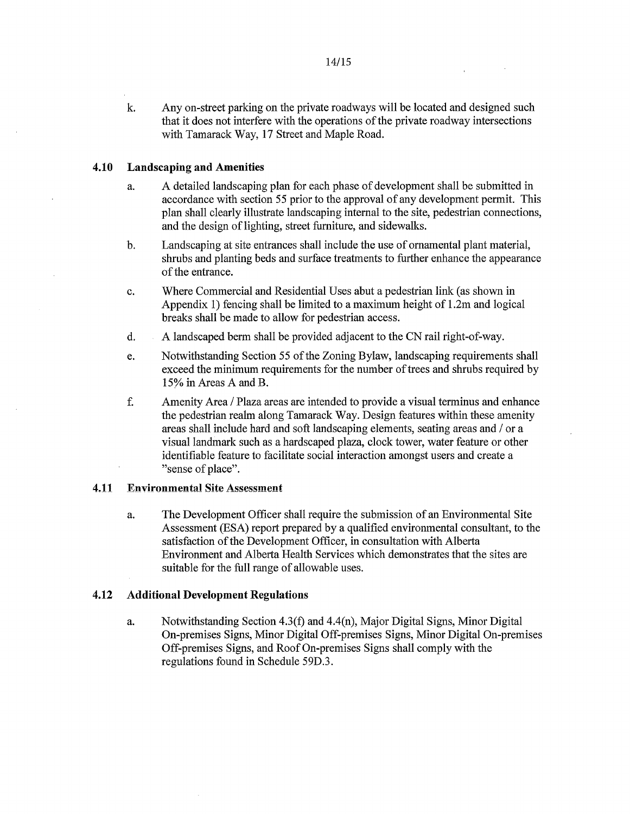k. Any on-street parking on the private roadways will be located and designed such that it does not interfere with the operations of the private roadway intersections with Tamarack Way, 17 Street and Maple Road.

## 4.10 Landscaping and Amenities

- a. A detailed landscaping plan for each phase of development shall be submitted in accordance with section 55 prior to the approval of any development permit. This plan shall clearly illustrate landscaping internal to the site, pedestrian connections, and the design of lighting, street furniture, and sidewalks.
- b. Landscaping at site entrances shall include the use of ornamental plant material, shrubs and planting beds and surface treatments to further enhance the appearance of the entrance.
- c. Where Commercial and Residential Uses abut a pedestrian link (as shown in Appendix 1) fencing shall be limited to a maximum height of 1.2m and logical breaks shall be made to allow for pedestrian access.
- d. A landscaped berm shall be provided adjacent to the CN rail right-of-way.
- e. Notwithstanding Section 55 of the Zoning Bylaw, landscaping requirements shall exceed the minimum requirements for the number of trees and shrubs required by 15% in Areas A and B.
- f. Amenity Area / Plaza areas are intended to provide a visual terminus and enhance the pedestrian realm along Tamarack Way. Design features within these amenity areas shall include hard and soft landscaping elements, seating areas and / or a visual landmark such as a hardscaped plaza, clock tower, water feature or other identifiable feature to facilitate social interaction amongst users and create a "sense of place".

## 4.11 Environmental Site Assessment

a. The Development Officer shall require the submission of an Environmental Site Assessment (ESA) report prepared by a qualified environmental consultant, to the satisfaction of the Development Officer, in consultation with Alberta Environment and Alberta Health Services which demonstrates that the sites are suitable for the full range of allowable uses.

## 4.12 Additional Development Regulations

a. Notwithstanding Section 4.3(f) and 4.4(n), Major Digital Signs, Minor Digital On-premises Signs, Minor Digital Off-premises Signs, Minor Digital On-premises Off-premises Signs, and Roof On-premises Signs shall comply with the regulations found in Schedule 59D.3.